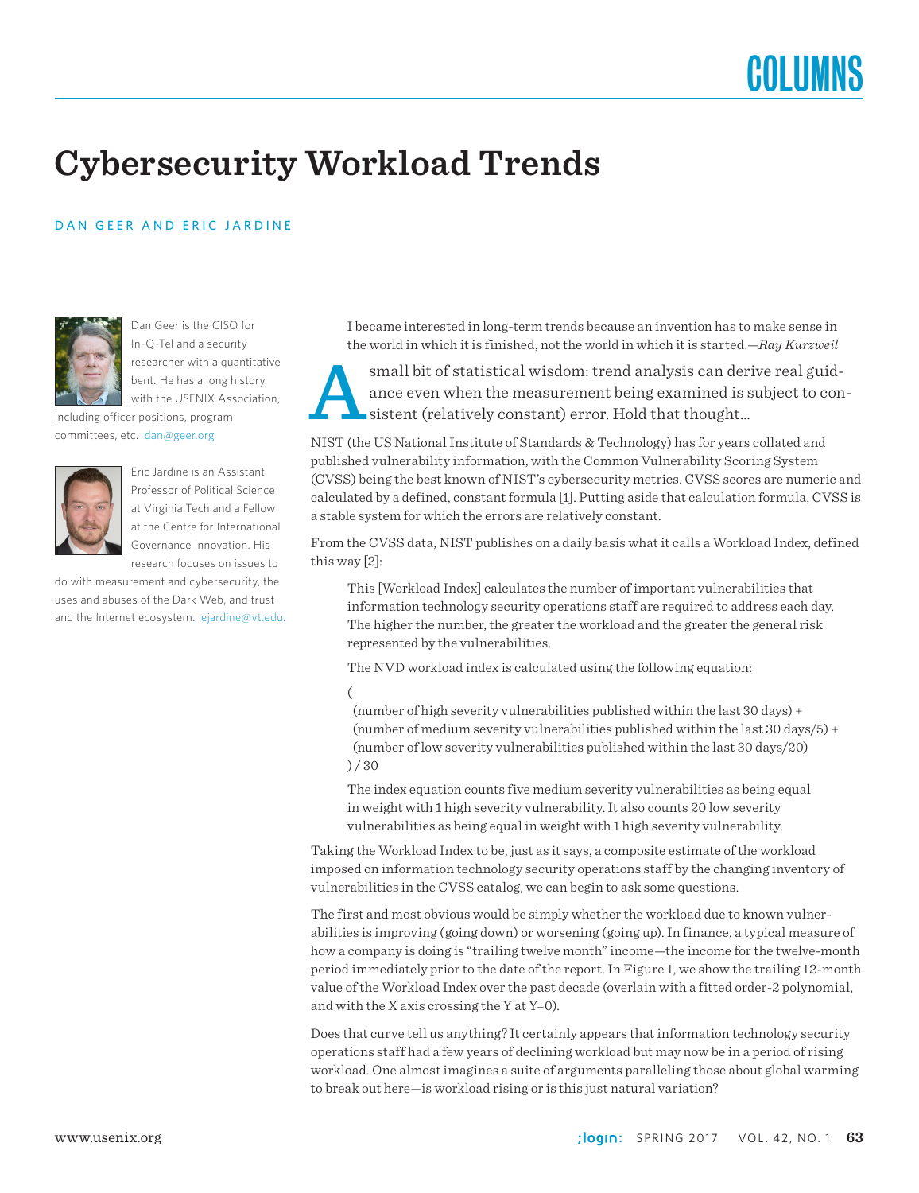## **Cybersecurity Workload Trends**

### DAN GEER AND ERIC JARDINE



Dan Geer is the CISO for In-Q-Tel and a security researcher with a quantitative bent. He has a long history with the USENIX Association,

including officer positions, program committees, etc. dan@geer.org



Eric Jardine is an Assistant Professor of Political Science at Virginia Tech and a Fellow at the Centre for International Governance Innovation. His research focuses on issues to

do with measurement and cybersecurity, the uses and abuses of the Dark Web, and trust and the Internet ecosystem. ejardine@vt.edu. I became interested in long-term trends because an invention has to make sense in the world in which it is finished, not the world in which it is started.—*Ray Kurzweil*

small bit of statistical wisdom: trend analysis can derive real guidance even when the measurement being examined is subject to consistent (relatively constant) error. Hold that thought... ance even when the measurement being examined is subject to consistent (relatively constant) error. Hold that thought…

NIST (the US National Institute of Standards & Technology) has for years collated and published vulnerability information, with the Common Vulnerability Scoring System (CVSS) being the best known of NIST's cybersecurity metrics. CVSS scores are numeric and calculated by a defined, constant formula [1]. Putting aside that calculation formula, CVSS is a stable system for which the errors are relatively constant.

From the CVSS data, NIST publishes on a daily basis what it calls a Workload Index, defined this way [2]:

This [Workload Index] calculates the number of important vulnerabilities that information technology security operations staff are required to address each day. The higher the number, the greater the workload and the greater the general risk represented by the vulnerabilities.

The NVD workload index is calculated using the following equation:

(

 (number of high severity vulnerabilities published within the last 30 days) + (number of medium severity vulnerabilities published within the last 30 days/5) + (number of low severity vulnerabilities published within the last 30 days/20) ) / 30

The index equation counts five medium severity vulnerabilities as being equal in weight with 1 high severity vulnerability. It also counts 20 low severity vulnerabilities as being equal in weight with 1 high severity vulnerability.

Taking the Workload Index to be, just as it says, a composite estimate of the workload imposed on information technology security operations staff by the changing inventory of vulnerabilities in the CVSS catalog, we can begin to ask some questions.

The first and most obvious would be simply whether the workload due to known vulnerabilities is improving (going down) or worsening (going up). In finance, a typical measure of how a company is doing is "trailing twelve month" income—the income for the twelve-month period immediately prior to the date of the report. In Figure 1, we show the trailing 12-month value of the Workload Index over the past decade (overlain with a fitted order-2 polynomial, and with the X axis crossing the Y at  $Y=0$ ).

Does that curve tell us anything? It certainly appears that information technology security operations staff had a few years of declining workload but may now be in a period of rising workload. One almost imagines a suite of arguments paralleling those about global warming to break out here—is workload rising or is this just natural variation?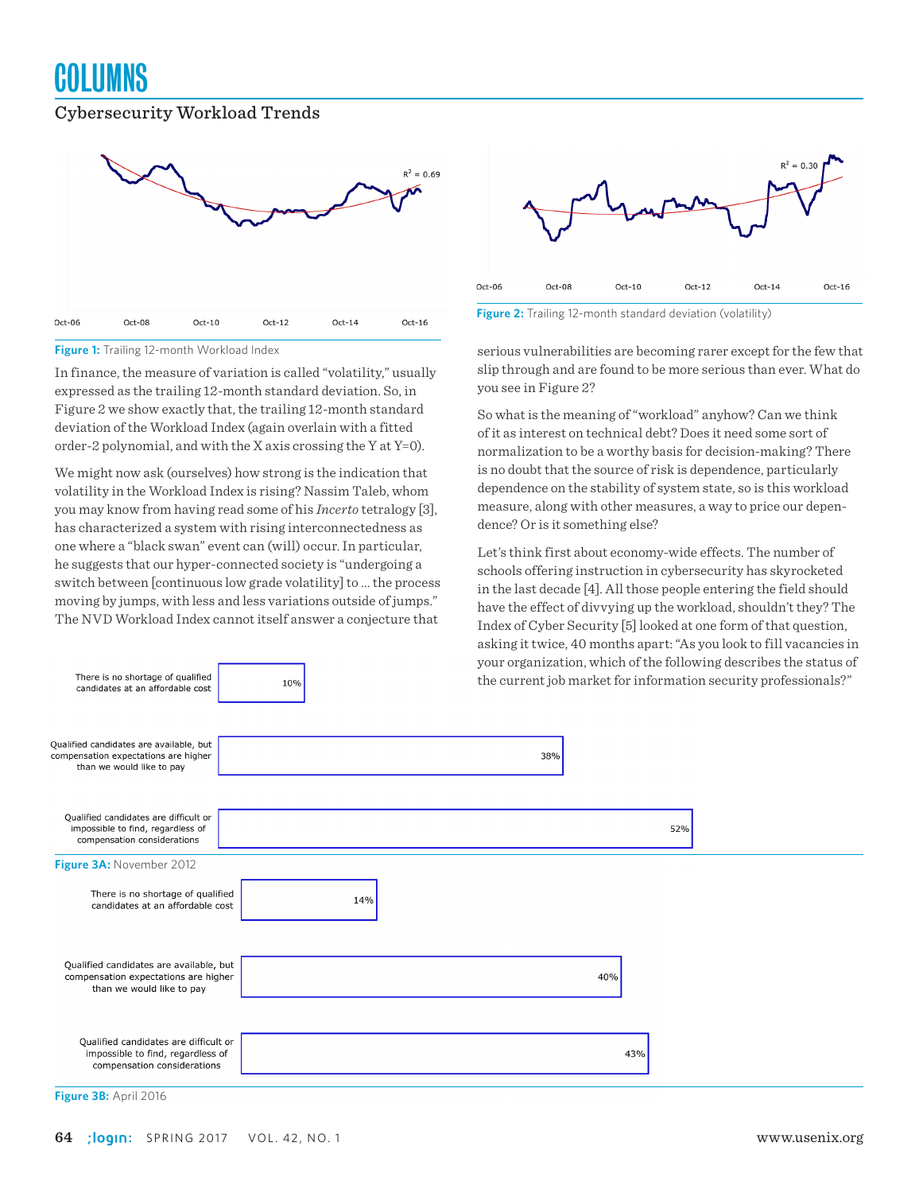## **COLUMNS**

### Cybersecurity Workload Trends



**Figure 1:** Trailing 12-month Workload Index

There is no shortage of qualified

candidates at an affordable cost

In finance, the measure of variation is called "volatility," usually expressed as the trailing 12-month standard deviation. So, in Figure 2 we show exactly that, the trailing 12-month standard deviation of the Workload Index (again overlain with a fitted order-2 polynomial, and with the X axis crossing the Y at Y=0).

We might now ask (ourselves) how strong is the indication that volatility in the Workload Index is rising? Nassim Taleb, whom you may know from having read some of his *Incerto* tetralogy [3], has characterized a system with rising interconnectedness as one where a "black swan" event can (will) occur. In particular, he suggests that our hyper-connected society is "undergoing a switch between [continuous low grade volatility] to ... the process moving by jumps, with less and less variations outside of jumps." The NVD Workload Index cannot itself answer a conjecture that

 $10%$ 



**Figure 2:** Trailing 12-month standard deviation (volatility)

serious vulnerabilities are becoming rarer except for the few that slip through and are found to be more serious than ever. What do you see in Figure 2?

So what is the meaning of "workload" anyhow? Can we think of it as interest on technical debt? Does it need some sort of normalization to be a worthy basis for decision-making? There is no doubt that the source of risk is dependence, particularly dependence on the stability of system state, so is this workload measure, along with other measures, a way to price our dependence? Or is it something else?

Let's think first about economy-wide effects. The number of schools offering instruction in cybersecurity has skyrocketed in the last decade [4]. All those people entering the field should have the effect of divvying up the workload, shouldn't they? The Index of Cyber Security [5] looked at one form of that question, asking it twice, 40 months apart: "As you look to fill vacancies in your organization, which of the following describes the status of the current job market for information security professionals?"



**Figure 3B:** April 2016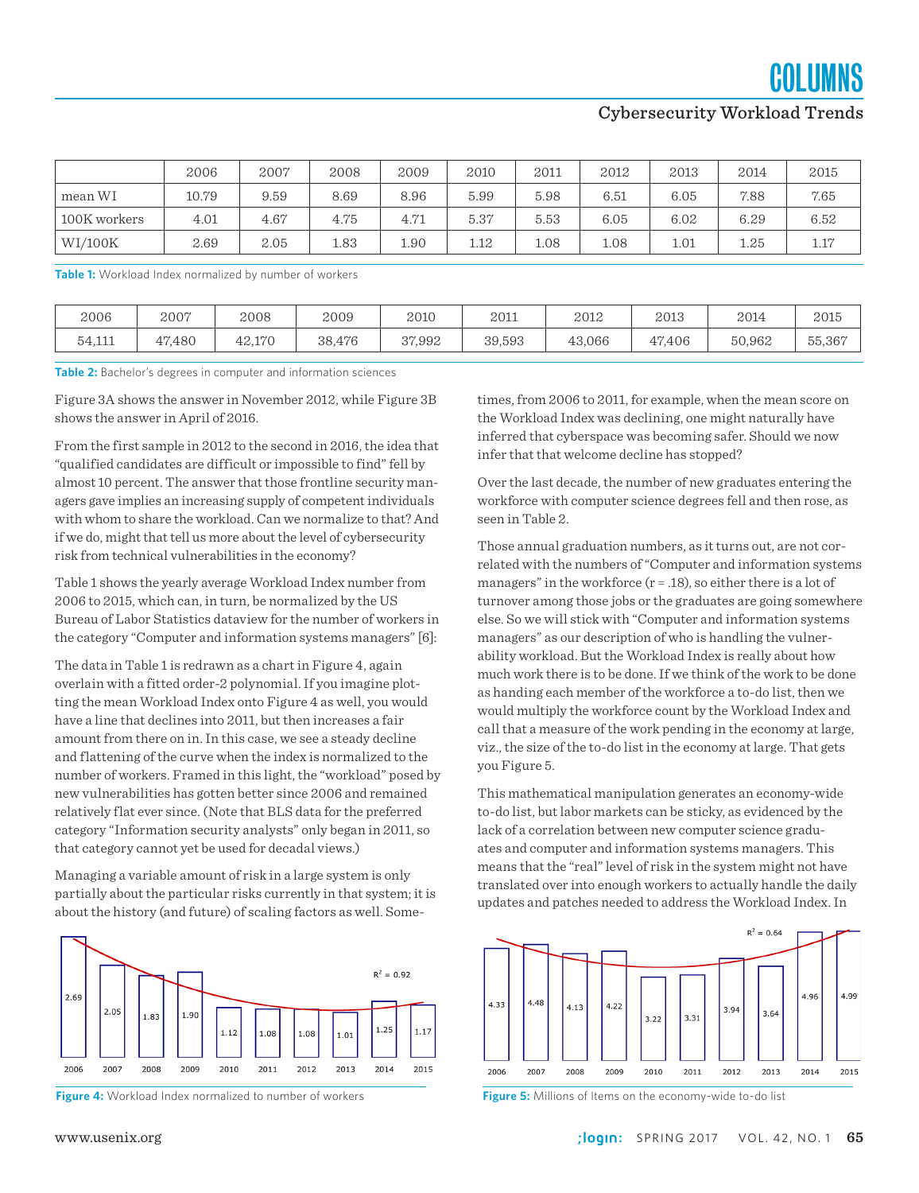**COLUMNS** 

### Cybersecurity Workload Trends

|              | 2006  | 2007 | 2008 | 2009 | 2010 | 2011 | 2012 | 2013 | 2014 | 2015 |
|--------------|-------|------|------|------|------|------|------|------|------|------|
| mean WI      | 10.79 | 9.59 | 8.69 | 8.96 | 5.99 | 5.98 | 6.51 | 6.05 | 7.88 | 7.65 |
| 100K workers | 4.01  | 4.67 | 4.75 | 4.71 | 5.37 | 5.53 | 6.05 | 6.02 | 6.29 | 6.52 |
| WI/100K      | 2.69  | 2.05 | 1.83 | 1.90 | 1.12 | 1.08 | 1.08 | 1.01 | 1.25 | 1.17 |

**Table 1:** Workload Index normalized by number of workers

| 2006   | 2007   | 2008   | 2009   | 2010   | 2011   | 2012   | 2013   | 2014   | 2015   |
|--------|--------|--------|--------|--------|--------|--------|--------|--------|--------|
| 54,111 | 47,480 | 42,170 | 38,476 | 37,992 | 39,593 | 43,066 | 47,406 | 50,962 | 55,367 |

**Table 2:** Bachelor's degrees in computer and information sciences

Figure 3A shows the answer in November 2012, while Figure 3B shows the answer in April of 2016.

From the first sample in 2012 to the second in 2016, the idea that "qualified candidates are difficult or impossible to find" fell by almost 10 percent. The answer that those frontline security managers gave implies an increasing supply of competent individuals with whom to share the workload. Can we normalize to that? And if we do, might that tell us more about the level of cybersecurity risk from technical vulnerabilities in the economy?

Table 1 shows the yearly average Workload Index number from 2006 to 2015, which can, in turn, be normalized by the US Bureau of Labor Statistics dataview for the number of workers in the category "Computer and information systems managers" [6]:

The data in Table 1 is redrawn as a chart in Figure 4, again overlain with a fitted order-2 polynomial. If you imagine plotting the mean Workload Index onto Figure 4 as well, you would have a line that declines into 2011, but then increases a fair amount from there on in. In this case, we see a steady decline and flattening of the curve when the index is normalized to the number of workers. Framed in this light, the "workload" posed by new vulnerabilities has gotten better since 2006 and remained relatively flat ever since. (Note that BLS data for the preferred category "Information security analysts" only began in 2011, so that category cannot yet be used for decadal views.)

Managing a variable amount of risk in a large system is only partially about the particular risks currently in that system; it is about the history (and future) of scaling factors as well. Some-





times, from 2006 to 2011, for example, when the mean score on the Workload Index was declining, one might naturally have inferred that cyberspace was becoming safer. Should we now infer that that welcome decline has stopped?

Over the last decade, the number of new graduates entering the workforce with computer science degrees fell and then rose, as seen in Table 2.

Those annual graduation numbers, as it turns out, are not correlated with the numbers of "Computer and information systems managers" in the workforce  $(r = .18)$ , so either there is a lot of turnover among those jobs or the graduates are going somewhere else. So we will stick with "Computer and information systems managers" as our description of who is handling the vulnerability workload. But the Workload Index is really about how much work there is to be done. If we think of the work to be done as handing each member of the workforce a to-do list, then we would multiply the workforce count by the Workload Index and call that a measure of the work pending in the economy at large, viz., the size of the to-do list in the economy at large. That gets you Figure 5.

This mathematical manipulation generates an economy-wide to-do list, but labor markets can be sticky, as evidenced by the lack of a correlation between new computer science graduates and computer and information systems managers. This means that the "real" level of risk in the system might not have translated over into enough workers to actually handle the daily updates and patches needed to address the Workload Index. In

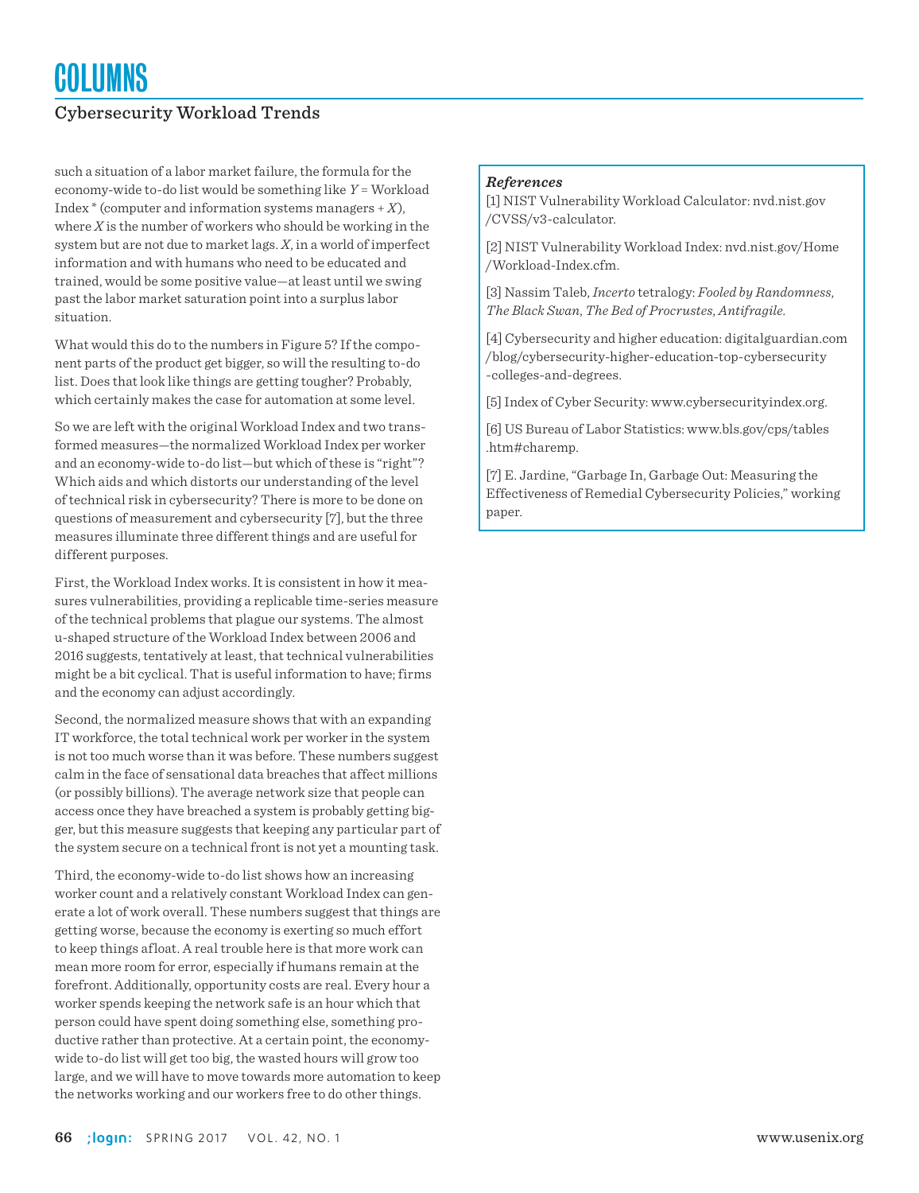### Cybersecurity Workload Trends

such a situation of a labor market failure, the formula for the economy-wide to-do list would be something like *Y* = Workload Index \* (computer and information systems managers + *X*), where *X* is the number of workers who should be working in the system but are not due to market lags. *X*, in a world of imperfect information and with humans who need to be educated and trained, would be some positive value—at least until we swing past the labor market saturation point into a surplus labor situation.

What would this do to the numbers in Figure 5? If the component parts of the product get bigger, so will the resulting to-do list. Does that look like things are getting tougher? Probably, which certainly makes the case for automation at some level.

So we are left with the original Workload Index and two transformed measures—the normalized Workload Index per worker and an economy-wide to-do list—but which of these is "right"? Which aids and which distorts our understanding of the level of technical risk in cybersecurity? There is more to be done on questions of measurement and cybersecurity [7], but the three measures illuminate three different things and are useful for different purposes.

First, the Workload Index works. It is consistent in how it measures vulnerabilities, providing a replicable time-series measure of the technical problems that plague our systems. The almost u-shaped structure of the Workload Index between 2006 and 2016 suggests, tentatively at least, that technical vulnerabilities might be a bit cyclical. That is useful information to have; firms and the economy can adjust accordingly.

Second, the normalized measure shows that with an expanding IT workforce, the total technical work per worker in the system is not too much worse than it was before. These numbers suggest calm in the face of sensational data breaches that affect millions (or possibly billions). The average network size that people can access once they have breached a system is probably getting bigger, but this measure suggests that keeping any particular part of the system secure on a technical front is not yet a mounting task.

Third, the economy-wide to-do list shows how an increasing worker count and a relatively constant Workload Index can generate a lot of work overall. These numbers suggest that things are getting worse, because the economy is exerting so much effort to keep things afloat. A real trouble here is that more work can mean more room for error, especially if humans remain at the forefront. Additionally, opportunity costs are real. Every hour a worker spends keeping the network safe is an hour which that person could have spent doing something else, something productive rather than protective. At a certain point, the economywide to-do list will get too big, the wasted hours will grow too large, and we will have to move towards more automation to keep the networks working and our workers free to do other things.

#### *References*

[1] NIST Vulnerability Workload Calculator: nvd.nist.gov /CVSS/v3-calculator.

[2] NIST Vulnerability Workload Index: nvd.nist.gov/Home /Workload-Index.cfm.

[3] Nassim Taleb, *Incerto* tetralogy: *Fooled by Randomness*, *The Black Swan*, *The Bed of Procrustes*, *Antifragile.*

[4] Cybersecurity and higher education: digitalguardian.com /blog/cybersecurity-higher-education-top-cybersecurity -colleges-and-degrees.

[5] Index of Cyber Security: www.cybersecurityindex.org.

[6] US Bureau of Labor Statistics: www.bls.gov/cps/tables .htm#charemp.

[7] E. Jardine, "Garbage In, Garbage Out: Measuring the Effectiveness of Remedial Cybersecurity Policies," working paper.